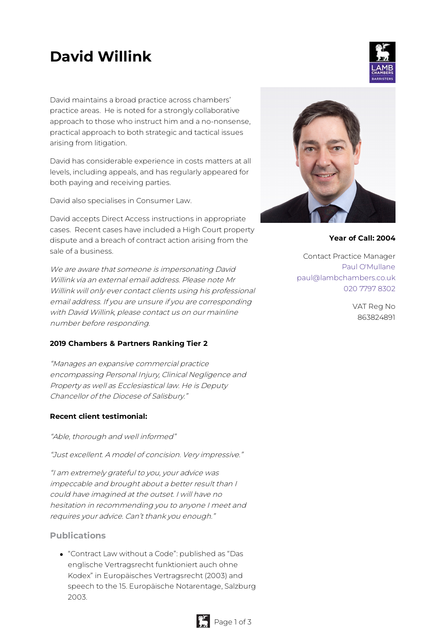# **David Willink**

David maintains a broad practice across chambers' practice areas. He is noted for a strongly collaborative approach to those who instruct him and a no-nonsense, practical approach to both strategic and tactical issues arising from litigation.

David has considerable experience in costs matters at all levels, including appeals, and has regularly appeared for both paying and receiving parties.

David also specialises in Consumer Law.

David accepts Direct Access instructions in appropriate cases. Recent cases have included a High Court property dispute and a breach of contract action arising from the sale of a business.

We are aware that someone is impersonating David Willink via an external email address. Please note Mr Willink will only ever contact clients using his professional email address. If you are unsure if you are corresponding with David Willink, please contact us on our mainline number before responding.

### **2019 Chambers & Partners Ranking Tier 2**

"Manages an expansive commercial practice encompassing Personal Injury, Clinical Negligence and Property as well as Ecclesiastical law. He is Deputy Chancellor of the Diocese of Salisbury."

#### **Recent client testimonial:**

"Able, thorough and well informed"

"Just excellent. A model of concision. Very impressive."

"I am extremely grateful to you, your advice was impeccable and brought about <sup>a</sup> better result than I could have imagined at the outset. I will have no hesitation in recommending you to anyone I meet and requires your advice. Can't thank you enough."

### **Publications**

"Contract Law without a Code": published as "Das englische Vertragsrecht funktioniert auch ohne Kodex" in Europäisches Vertragsrecht (2003) and speech to the 15. Europäische Notarentage, Salzburg 2003.



**Year of Call: 2004**

Contact Practice Manager Paul [O'Mullane](mailto:paul@lambchambers.co.uk) [paul@lambchambers.co.uk](mailto:paul@lambchambers.co.uk) 020 7797 [8302](tel:020%207797%208302)

> VAT Reg No 863824891



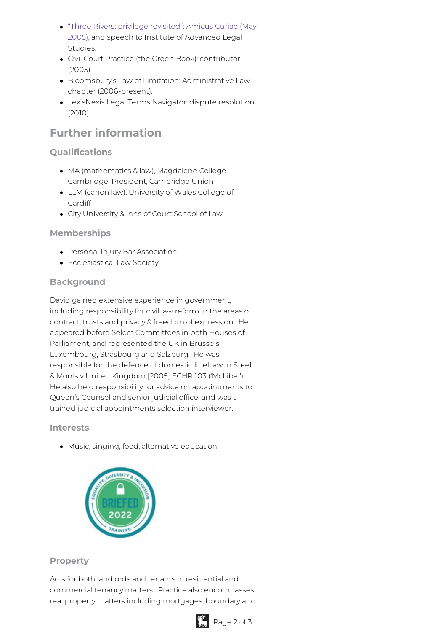- "Three Rivers: privilege revisited": Amicus Curiae (May 2005), and speech to Institute of [Advanced](http://journals.sas.ac.uk/amicus/article/view/1095/978) Legal Studies.
- Civil Court Practice (the Green Book): contributor (2005).
- Bloomsbury's Law of Limitation: Administrative Law chapter (2006-present).
- LexisNexis Legal Terms Navigator: dispute resolution (2010).

# **Further information**

# **Qualifications**

- MA (mathematics & law), Magdalene College, Cambridge; President, Cambridge Union
- LLM (canon law), University of Wales College of Cardiff
- City University & Inns of Court School of Law

# **Memberships**

- Personal Injury Bar Association
- Ecclesiastical Law Society

## **Background**

David gained extensive experience in government, including responsibility for civil law reform in the areas of contract, trusts and privacy & freedom of expression. He appeared before Select Committees in both Houses of Parliament, and represented the UK in Brussels, Luxembourg, Strasbourg and Salzburg. He was responsible for the defence of domestic libel law in Steel & Morris v United Kingdom [2005] ECHR 103 ('McLibel'). He also held responsibility for advice on appointments to Queen's Counsel and senior judicial office, and was a trained judicial appointments selection interviewer.

### **Interests**

Music, singing, food, alternative education.



### **Property**

Acts for both landlords and tenants in residential and commercial tenancy matters. Practice also encompasses real property matters including mortgages, boundary and